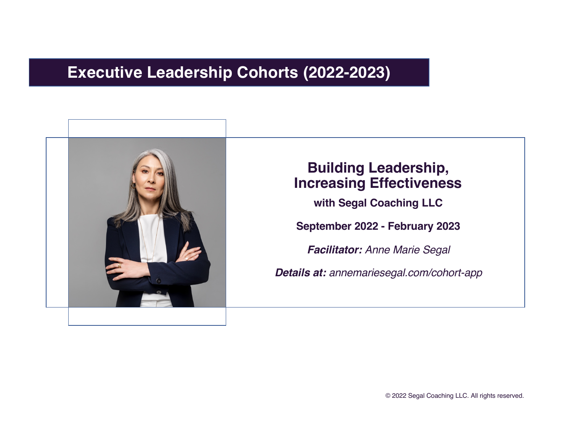### **Executive Leadership Cohorts (2022-2023)**



### **Building Leadership, Increasing Effectiveness**

**with Segal Coaching LLC**

**September 2022 - February 2023**

*Facilitator: Anne Marie Segal*

*Details at: annemariesegal.com/cohort-app*

© 2022 Segal Coaching LLC. All rights reserved.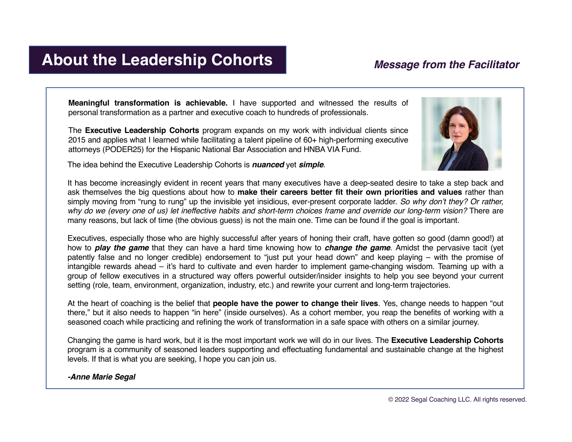### **About the Leadership Cohorts**

### *Message from the Facilitator*

**Meaningful transformation is achievable.** I have supported and witnessed the results of personal transformation as a partner and executive coach to hundreds of professionals.

The **Executive Leadership Cohorts** program expands on my work with individual clients since 2015 and applies what I learned while facilitating a talent pipeline of 60+ high-performing executive attorneys (PODER25) for the Hispanic National Bar Association and HNBA VIA Fund.

The idea behind the Executive Leadership Cohorts is *nuanced* yet *simple*.



It has become increasingly evident in recent years that many executives have a deep-seated desire to take a step back and ask themselves the big questions about how to **make their careers better fit their own priorities and values** rather than simply moving from "rung to rung" up the invisible yet insidious, ever-present corporate ladder. *So why don't they? Or rather,* why do we (every one of us) let ineffective habits and short-term choices frame and override our long-term vision? There are many reasons, but lack of time (the obvious guess) is not the main one. Time can be found if the goal is important.

Executives, especially those who are highly successful after years of honing their craft, have gotten so good (damn good!) at how to *play the game* that they can have a hard time knowing how to *change the game*. Amidst the pervasive tacit (yet patently false and no longer credible) endorsement to "just put your head down" and keep playing – with the promise of intangible rewards ahead – it's hard to cultivate and even harder to implement game-changing wisdom. Teaming up with a group of fellow executives in a structured way offers powerful outsider/insider insights to help you see beyond your current setting (role, team, environment, organization, industry, etc.) and rewrite your current and long-term trajectories.

At the heart of coaching is the belief that **people have the power to change their lives**. Yes, change needs to happen "out there," but it also needs to happen "in here" (inside ourselves). As a cohort member, you reap the benefits of working with a seasoned coach while practicing and refining the work of transformation in a safe space with others on a similar journey.

Changing the game is hard work, but it is the most important work we will do in our lives. The **Executive Leadership Cohorts** program is a community of seasoned leaders supporting and effectuating fundamental and sustainable change at the highest levels. If that is what you are seeking, I hope you can join us.

### *-Anne Marie Segal*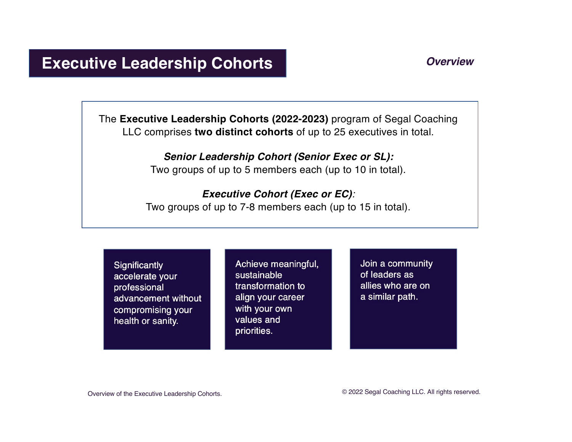### *Overview*

### **Executive Leadership Cohorts**

The **Executive Leadership Cohorts (2022-2023)** program of Segal Coaching LLC comprises **two distinct cohorts** of up to 25 executives in total.

> *Senior Leadership Cohort (Senior Exec or SL):* Two groups of up to 5 members each (up to 10 in total).

*Executive Cohort (Exec or EC):* Two groups of up to 7-8 members each (up to 15 in total).

Significantly accelerate your professional advancement without compromising your health or sanity.

Achieve meaningful, sustainable transformation to align your career with your own values and priorities.

Join a community of leaders as allies who are on a similar path.

Overview of the Executive Leadership Cohorts. © 2022 Segal Coaching LLC. All rights reserved.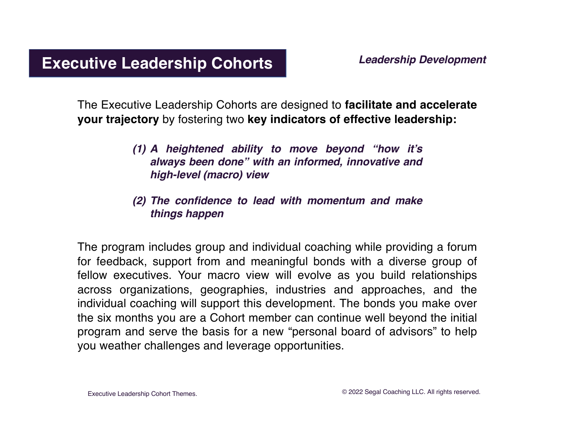The Executive Leadership Cohorts are designed to **facilitate and accelerate your trajectory** by fostering two **key indicators of effective leadership:**

- *(1) A heightened ability to move beyond "how it's always been done" with an informed, innovative and high-level (macro) view*
- *(2) The confidence to lead with momentum and make things happen*

The program includes group and individual coaching while providing a forum for feedback, support from and meaningful bonds with a diverse group of fellow executives. Your macro view will evolve as you build relationships across organizations, geographies, industries and approaches, and the individual coaching will support this development. The bonds you make over the six months you are a Cohort member can continue well beyond the initial program and serve the basis for a new "personal board of advisors" to help you weather challenges and leverage opportunities.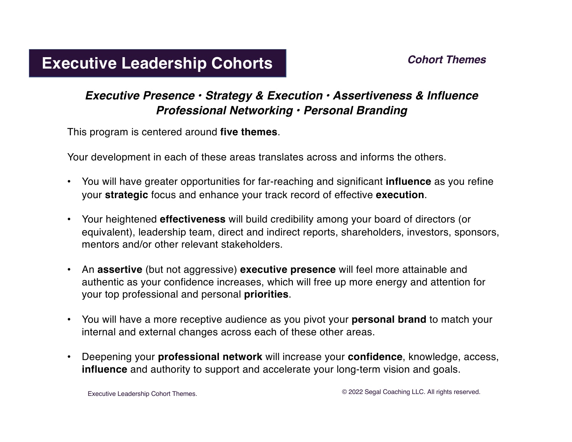### *Cohort Themes*

### **Executive Leadership Cohorts**

### *Executive Presence • Strategy & Execution • Assertiveness & Influence Professional Networking • Personal Branding*

This program is centered around **five themes**.

Your development in each of these areas translates across and informs the others.

- You will have greater opportunities for far-reaching and significant **influence** as you refine your **strategic** focus and enhance your track record of effective **execution**.
- mentors and/or other relevant stakeholders. • Your heightened **effectiveness** will build credibility among your board of directors (or equivalent), leadership team, direct and indirect reports, shareholders, investors, sponsors,
- authentic as your confidence increases, which will free up more energy and attention for your top professional and personal **priorities**. comparation that the their health or sanity, the santten or sanity, the santten or sanity,  $\frac{1}{2}$ • An **assertive** (but not aggressive) **executive presence** will feel more attainable and
- You will have a more receptive audience as you pivot your **personal brand** to match your internal and external changes across each of these other areas.
- **•** Deepening your **professional network** will increase your **confidence**, knowledge, access, **influence** and authority to support and accelerate your long-term vision and goals.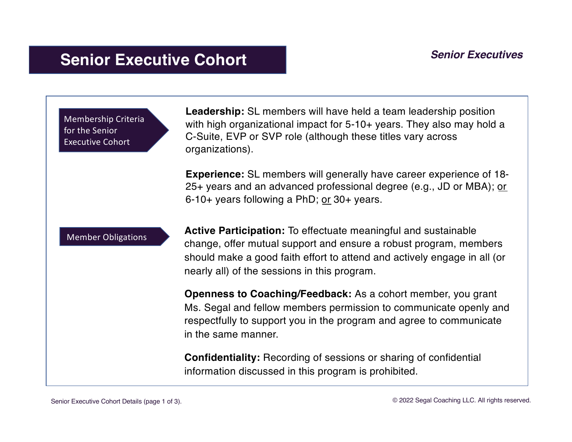## **Senior Executive Cohort** *Senior Executives*



**Leadership:** SL members will have held a team leadership position with high organizational impact for 5-10+ years. They also may hold a C-Suite, EVP or SVP role (although these titles vary across organizations).

**Experience:** SL members will generally have career experience of 18- 25+ years and an advanced professional degree (e.g., JD or MBA); or 6-10+ years following a PhD; or 30+ years.

Member Obligations

**Active Participation:** To effectuate meaningful and sustainable change, offer mutual support and ensure a robust program, members should make a good faith effort to attend and actively engage in all (or nearly all) of the sessions in this program.

**Openness to Coaching/Feedback:** As a cohort member, you grant Ms. Segal and fellow members permission to communicate openly and respectfully to support you in the program and agree to communicate in the same manner.

**Confidentiality:** Recording of sessions or sharing of confidential information discussed in this program is prohibited.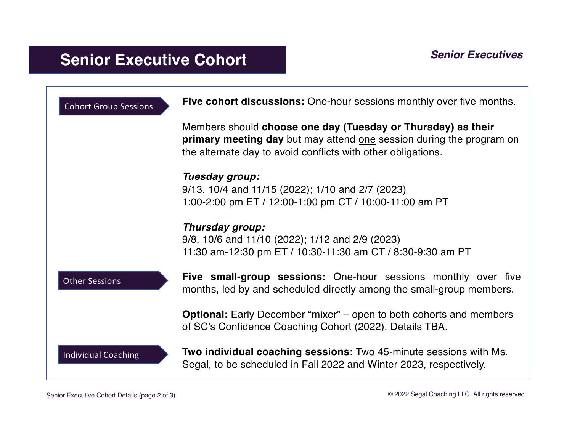# **Senior Executive Cohort** *Senior Executives*

| <b>Cohort Group Sessions</b> | Five cohort discussions: One-hour sessions monthly over five months.                                                                                                                                 |
|------------------------------|------------------------------------------------------------------------------------------------------------------------------------------------------------------------------------------------------|
|                              | Members should choose one day (Tuesday or Thursday) as their<br>primary meeting day but may attend one session during the program on<br>the alternate day to avoid conflicts with other obligations. |
|                              | Tuesday group:<br>9/13, 10/4 and 11/15 (2022); 1/10 and 2/7 (2023)<br>1:00-2:00 pm ET / 12:00-1:00 pm CT / 10:00-11:00 am PT                                                                         |
|                              | Thursday group:<br>9/8, 10/6 and 11/10 (2022); 1/12 and 2/9 (2023)<br>11:30 am-12:30 pm ET / 10:30-11:30 am CT / 8:30-9:30 am PT                                                                     |
| <b>Other Sessions</b>        | <b>Five small-group sessions:</b> One-hour sessions monthly over five<br>months, led by and scheduled directly among the small-group members.                                                        |
|                              | <b>Optional:</b> Early December "mixer" – open to both cohorts and members<br>of SC's Confidence Coaching Cohort (2022). Details TBA.                                                                |
| <b>Individual Coaching</b>   | <b>Two individual coaching sessions:</b> Two 45-minute sessions with Ms.<br>Segal, to be scheduled in Fall 2022 and Winter 2023, respectively.                                                       |

Senior Executive Cohort Details (page 2 of 3).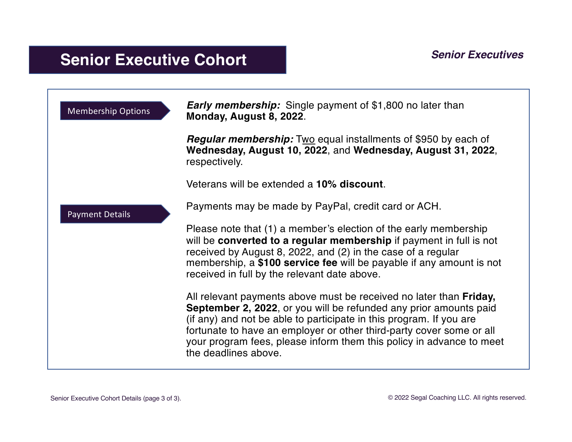## **Senior Executive Cohort** *Senior Executives*

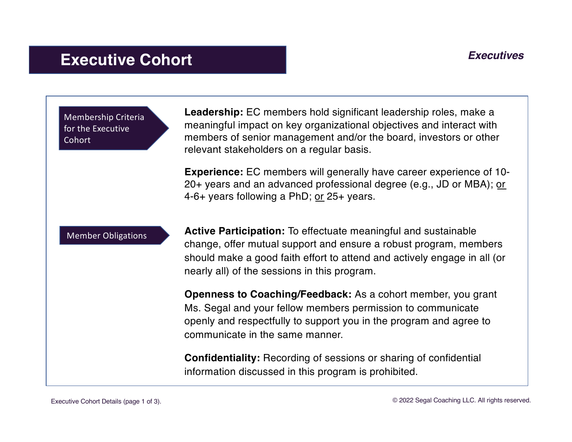## **Executive Cohort** *Executives*

Membership Criteria for the Executive Cohort

**Leadership:** EC members hold significant leadership roles, make a meaningful impact on key organizational objectives and interact with members of senior management and/or the board, investors or other relevant stakeholders on a regular basis.

**Experience:** EC members will generally have career experience of 10- 20+ years and an advanced professional degree (e.g., JD or MBA); or 4-6+ years following a PhD; or 25+ years.

Member Obligations

**Active Participation:** To effectuate meaningful and sustainable change, offer mutual support and ensure a robust program, members should make a good faith effort to attend and actively engage in all (or nearly all) of the sessions in this program.

**Openness to Coaching/Feedback:** As a cohort member, you grant Ms. Segal and your fellow members permission to communicate openly and respectfully to support you in the program and agree to communicate in the same manner.

**Confidentiality:** Recording of sessions or sharing of confidential information discussed in this program is prohibited.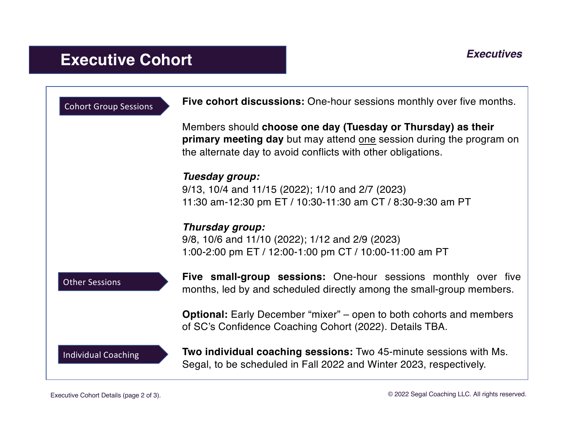# **Executive Cohort** *Executives*

| <b>Cohort Group Sessions</b> | <b>Five cohort discussions:</b> One-hour sessions monthly over five months.                                                                                                                          |
|------------------------------|------------------------------------------------------------------------------------------------------------------------------------------------------------------------------------------------------|
|                              | Members should choose one day (Tuesday or Thursday) as their<br>primary meeting day but may attend one session during the program on<br>the alternate day to avoid conflicts with other obligations. |
|                              | Tuesday group:<br>9/13, 10/4 and 11/15 (2022); 1/10 and 2/7 (2023)<br>11:30 am-12:30 pm ET / 10:30-11:30 am CT / 8:30-9:30 am PT                                                                     |
|                              | Thursday group:<br>9/8, 10/6 and 11/10 (2022); 1/12 and 2/9 (2023)<br>1:00-2:00 pm ET / 12:00-1:00 pm CT / 10:00-11:00 am PT                                                                         |
| <b>Other Sessions</b>        | <b>Five small-group sessions:</b> One-hour sessions monthly over five<br>months, led by and scheduled directly among the small-group members.                                                        |
|                              | <b>Optional:</b> Early December "mixer" – open to both cohorts and members<br>of SC's Confidence Coaching Cohort (2022). Details TBA.                                                                |
| <b>Individual Coaching</b>   | <b>Two individual coaching sessions:</b> Two 45-minute sessions with Ms.<br>Segal, to be scheduled in Fall 2022 and Winter 2023, respectively.                                                       |

Executive Cohort Details (page 2 of 3).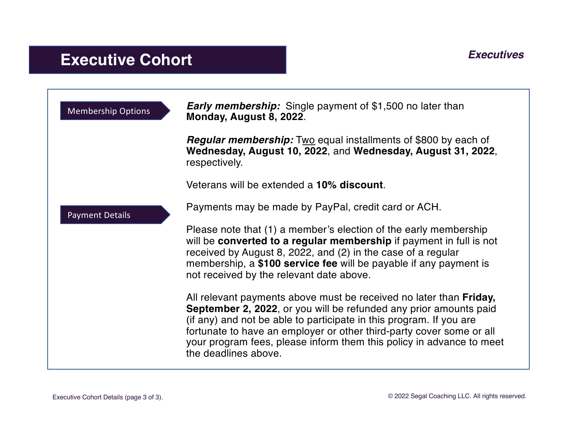## **Executive Cohort** *Executives*